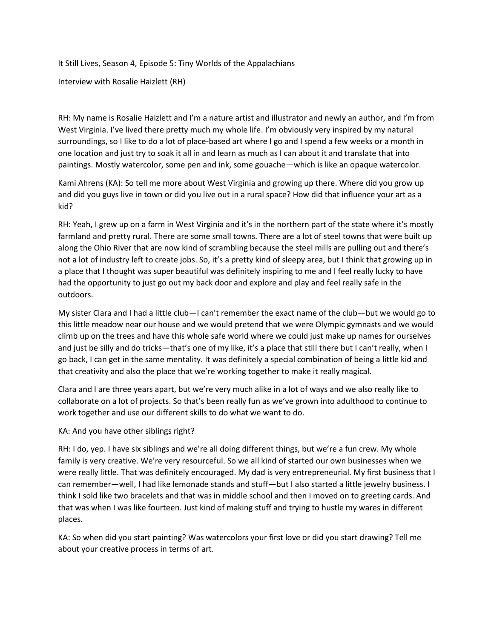It Still Lives, Season 4, Episode 5: Tiny Worlds of the Appalachians

Interview with Rosalie Haizlett (RH)

RH: My name is Rosalie Haizlett and I'm a nature artist and illustrator and newly an author, and I'm from West Virginia. I've lived there pretty much my whole life. I'm obviously very inspired by my natural surroundings, so I like to do a lot of place-based art where I go and I spend a few weeks or a month in one location and just try to soak it all in and learn as much as I can about it and translate that into paintings. Mostly watercolor, some pen and ink, some gouache—which is like an opaque watercolor.

Kami Ahrens (KA): So tell me more about West Virginia and growing up there. Where did you grow up and did you guys live in town or did you live out in a rural space? How did that influence your art as a kid?

RH: Yeah, I grew up on a farm in West Virginia and it's in the northern part of the state where it's mostly farmland and pretty rural. There are some small towns. There are a lot of steel towns that were built up along the Ohio River that are now kind of scrambling because the steel mills are pulling out and there's not a lot of industry left to create jobs. So, it's a pretty kind of sleepy area, but I think that growing up in a place that I thought was super beautiful was definitely inspiring to me and I feel really lucky to have had the opportunity to just go out my back door and explore and play and feel really safe in the outdoors.

My sister Clara and I had a little club—I can't remember the exact name of the club—but we would go to this little meadow near our house and we would pretend that we were Olympic gymnasts and we would climb up on the trees and have this whole safe world where we could just make up names for ourselves and just be silly and do tricks—that's one of my like, it's a place that still there but I can't really, when I go back, I can get in the same mentality. It was definitely a special combination of being a little kid and that creativity and also the place that we're working together to make it really magical.

Clara and I are three years apart, but we're very much alike in a lot of ways and we also really like to collaborate on a lot of projects. So that's been really fun as we've grown into adulthood to continue to work together and use our different skills to do what we want to do.

## KA: And you have other siblings right?

RH: I do, yep. I have six siblings and we're all doing different things, but we're a fun crew. My whole family is very creative. We're very resourceful. So we all kind of started our own businesses when we were really little. That was definitely encouraged. My dad is very entrepreneurial. My first business that I can remember—well, I had like lemonade stands and stuff—but I also started a little jewelry business. I think I sold like two bracelets and that was in middle school and then I moved on to greeting cards. And that was when I was like fourteen. Just kind of making stuff and trying to hustle my wares in different places.

KA: So when did you start painting? Was watercolors your first love or did you start drawing? Tell me about your creative process in terms of art.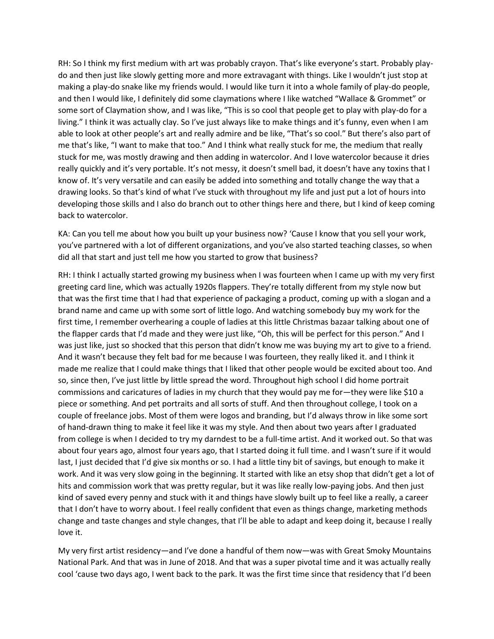RH: So I think my first medium with art was probably crayon. That's like everyone's start. Probably playdo and then just like slowly getting more and more extravagant with things. Like I wouldn't just stop at making a play-do snake like my friends would. I would like turn it into a whole family of play-do people, and then I would like, I definitely did some claymations where I like watched "Wallace & Grommet" or some sort of Claymation show, and I was like, "This is so cool that people get to play with play-do for a living." I think it was actually clay. So I've just always like to make things and it's funny, even when I am able to look at other people's art and really admire and be like, "That's so cool." But there's also part of me that's like, "I want to make that too." And I think what really stuck for me, the medium that really stuck for me, was mostly drawing and then adding in watercolor. And I love watercolor because it dries really quickly and it's very portable. It's not messy, it doesn't smell bad, it doesn't have any toxins that I know of. It's very versatile and can easily be added into something and totally change the way that a drawing looks. So that's kind of what I've stuck with throughout my life and just put a lot of hours into developing those skills and I also do branch out to other things here and there, but I kind of keep coming back to watercolor.

KA: Can you tell me about how you built up your business now? 'Cause I know that you sell your work, you've partnered with a lot of different organizations, and you've also started teaching classes, so when did all that start and just tell me how you started to grow that business?

RH: I think I actually started growing my business when I was fourteen when I came up with my very first greeting card line, which was actually 1920s flappers. They're totally different from my style now but that was the first time that I had that experience of packaging a product, coming up with a slogan and a brand name and came up with some sort of little logo. And watching somebody buy my work for the first time, I remember overhearing a couple of ladies at this little Christmas bazaar talking about one of the flapper cards that I'd made and they were just like, "Oh, this will be perfect for this person." And I was just like, just so shocked that this person that didn't know me was buying my art to give to a friend. And it wasn't because they felt bad for me because I was fourteen, they really liked it. and I think it made me realize that I could make things that I liked that other people would be excited about too. And so, since then, I've just little by little spread the word. Throughout high school I did home portrait commissions and caricatures of ladies in my church that they would pay me for—they were like \$10 a piece or something. And pet portraits and all sorts of stuff. And then throughout college, I took on a couple of freelance jobs. Most of them were logos and branding, but I'd always throw in like some sort of hand-drawn thing to make it feel like it was my style. And then about two years after I graduated from college is when I decided to try my darndest to be a full-time artist. And it worked out. So that was about four years ago, almost four years ago, that I started doing it full time. and I wasn't sure if it would last, I just decided that I'd give six months or so. I had a little tiny bit of savings, but enough to make it work. And it was very slow going in the beginning. It started with like an etsy shop that didn't get a lot of hits and commission work that was pretty regular, but it was like really low-paying jobs. And then just kind of saved every penny and stuck with it and things have slowly built up to feel like a really, a career that I don't have to worry about. I feel really confident that even as things change, marketing methods change and taste changes and style changes, that I'll be able to adapt and keep doing it, because I really love it.

My very first artist residency—and I've done a handful of them now—was with Great Smoky Mountains National Park. And that was in June of 2018. And that was a super pivotal time and it was actually really cool 'cause two days ago, I went back to the park. It was the first time since that residency that I'd been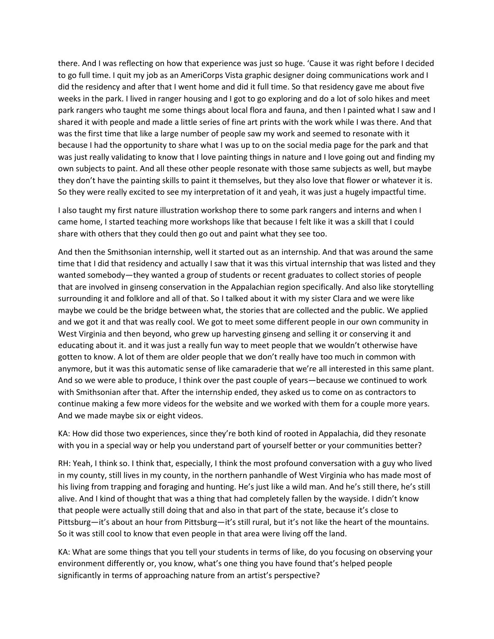there. And I was reflecting on how that experience was just so huge. 'Cause it was right before I decided to go full time. I quit my job as an AmeriCorps Vista graphic designer doing communications work and I did the residency and after that I went home and did it full time. So that residency gave me about five weeks in the park. I lived in ranger housing and I got to go exploring and do a lot of solo hikes and meet park rangers who taught me some things about local flora and fauna, and then I painted what I saw and I shared it with people and made a little series of fine art prints with the work while I was there. And that was the first time that like a large number of people saw my work and seemed to resonate with it because I had the opportunity to share what I was up to on the social media page for the park and that was just really validating to know that I love painting things in nature and I love going out and finding my own subjects to paint. And all these other people resonate with those same subjects as well, but maybe they don't have the painting skills to paint it themselves, but they also love that flower or whatever it is. So they were really excited to see my interpretation of it and yeah, it was just a hugely impactful time.

I also taught my first nature illustration workshop there to some park rangers and interns and when I came home, I started teaching more workshops like that because I felt like it was a skill that I could share with others that they could then go out and paint what they see too.

And then the Smithsonian internship, well it started out as an internship. And that was around the same time that I did that residency and actually I saw that it was this virtual internship that was listed and they wanted somebody—they wanted a group of students or recent graduates to collect stories of people that are involved in ginseng conservation in the Appalachian region specifically. And also like storytelling surrounding it and folklore and all of that. So I talked about it with my sister Clara and we were like maybe we could be the bridge between what, the stories that are collected and the public. We applied and we got it and that was really cool. We got to meet some different people in our own community in West Virginia and then beyond, who grew up harvesting ginseng and selling it or conserving it and educating about it. and it was just a really fun way to meet people that we wouldn't otherwise have gotten to know. A lot of them are older people that we don't really have too much in common with anymore, but it was this automatic sense of like camaraderie that we're all interested in this same plant. And so we were able to produce, I think over the past couple of years—because we continued to work with Smithsonian after that. After the internship ended, they asked us to come on as contractors to continue making a few more videos for the website and we worked with them for a couple more years. And we made maybe six or eight videos.

KA: How did those two experiences, since they're both kind of rooted in Appalachia, did they resonate with you in a special way or help you understand part of yourself better or your communities better?

RH: Yeah, I think so. I think that, especially, I think the most profound conversation with a guy who lived in my county, still lives in my county, in the northern panhandle of West Virginia who has made most of his living from trapping and foraging and hunting. He's just like a wild man. And he's still there, he's still alive. And I kind of thought that was a thing that had completely fallen by the wayside. I didn't know that people were actually still doing that and also in that part of the state, because it's close to Pittsburg—it's about an hour from Pittsburg—it's still rural, but it's not like the heart of the mountains. So it was still cool to know that even people in that area were living off the land.

KA: What are some things that you tell your students in terms of like, do you focusing on observing your environment differently or, you know, what's one thing you have found that's helped people significantly in terms of approaching nature from an artist's perspective?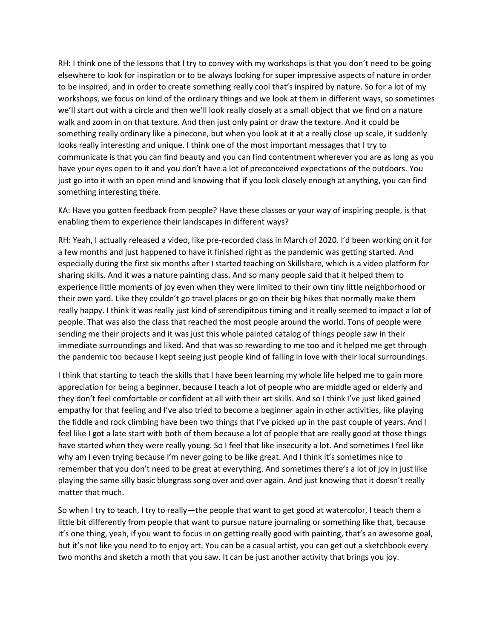RH: I think one of the lessons that I try to convey with my workshops is that you don't need to be going elsewhere to look for inspiration or to be always looking for super impressive aspects of nature in order to be inspired, and in order to create something really cool that's inspired by nature. So for a lot of my workshops, we focus on kind of the ordinary things and we look at them in different ways, so sometimes we'll start out with a circle and then we'll look really closely at a small object that we find on a nature walk and zoom in on that texture. And then just only paint or draw the texture. And it could be something really ordinary like a pinecone, but when you look at it at a really close up scale, it suddenly looks really interesting and unique. I think one of the most important messages that I try to communicate is that you can find beauty and you can find contentment wherever you are as long as you have your eyes open to it and you don't have a lot of preconceived expectations of the outdoors. You just go into it with an open mind and knowing that if you look closely enough at anything, you can find something interesting there.

KA: Have you gotten feedback from people? Have these classes or your way of inspiring people, is that enabling them to experience their landscapes in different ways?

RH: Yeah, I actually released a video, like pre-recorded class in March of 2020. I'd been working on it for a few months and just happened to have it finished right as the pandemic was getting started. And especially during the first six months after I started teaching on Skillshare, which is a video platform for sharing skills. And it was a nature painting class. And so many people said that it helped them to experience little moments of joy even when they were limited to their own tiny little neighborhood or their own yard. Like they couldn't go travel places or go on their big hikes that normally make them really happy. I think it was really just kind of serendipitous timing and it really seemed to impact a lot of people. That was also the class that reached the most people around the world. Tons of people were sending me their projects and it was just this whole painted catalog of things people saw in their immediate surroundings and liked. And that was so rewarding to me too and it helped me get through the pandemic too because I kept seeing just people kind of falling in love with their local surroundings.

I think that starting to teach the skills that I have been learning my whole life helped me to gain more appreciation for being a beginner, because I teach a lot of people who are middle aged or elderly and they don't feel comfortable or confident at all with their art skills. And so I think I've just liked gained empathy for that feeling and I've also tried to become a beginner again in other activities, like playing the fiddle and rock climbing have been two things that I've picked up in the past couple of years. And I feel like I got a late start with both of them because a lot of people that are really good at those things have started when they were really young. So I feel that like insecurity a lot. And sometimes I feel like why am I even trying because I'm never going to be like great. And I think it's sometimes nice to remember that you don't need to be great at everything. And sometimes there's a lot of joy in just like playing the same silly basic bluegrass song over and over again. And just knowing that it doesn't really matter that much.

So when I try to teach, I try to really—the people that want to get good at watercolor, I teach them a little bit differently from people that want to pursue nature journaling or something like that, because it's one thing, yeah, if you want to focus in on getting really good with painting, that's an awesome goal, but it's not like you need to to enjoy art. You can be a casual artist, you can get out a sketchbook every two months and sketch a moth that you saw. It can be just another activity that brings you joy.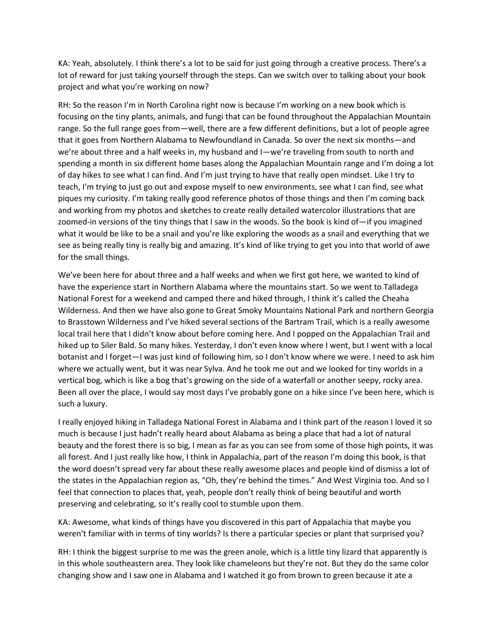KA: Yeah, absolutely. I think there's a lot to be said for just going through a creative process. There's a lot of reward for just taking yourself through the steps. Can we switch over to talking about your book project and what you're working on now?

RH: So the reason I'm in North Carolina right now is because I'm working on a new book which is focusing on the tiny plants, animals, and fungi that can be found throughout the Appalachian Mountain range. So the full range goes from—well, there are a few different definitions, but a lot of people agree that it goes from Northern Alabama to Newfoundland in Canada. So over the next six months—and we're about three and a half weeks in, my husband and I—we're traveling from south to north and spending a month in six different home bases along the Appalachian Mountain range and I'm doing a lot of day hikes to see what I can find. And I'm just trying to have that really open mindset. Like I try to teach, I'm trying to just go out and expose myself to new environments, see what I can find, see what piques my curiosity. I'm taking really good reference photos of those things and then I'm coming back and working from my photos and sketches to create really detailed watercolor illustrations that are zoomed-in versions of the tiny things that I saw in the woods. So the book is kind of—if you imagined what it would be like to be a snail and you're like exploring the woods as a snail and everything that we see as being really tiny is really big and amazing. It's kind of like trying to get you into that world of awe for the small things.

We've been here for about three and a half weeks and when we first got here, we wanted to kind of have the experience start in Northern Alabama where the mountains start. So we went to Talladega National Forest for a weekend and camped there and hiked through, I think it's called the Cheaha Wilderness. And then we have also gone to Great Smoky Mountains National Park and northern Georgia to Brasstown Wilderness and I've hiked several sections of the Bartram Trail, which is a really awesome local trail here that I didn't know about before coming here. And I popped on the Appalachian Trail and hiked up to Siler Bald. So many hikes. Yesterday, I don't even know where I went, but I went with a local botanist and I forget—I was just kind of following him, so I don't know where we were. I need to ask him where we actually went, but it was near Sylva. And he took me out and we looked for tiny worlds in a vertical bog, which is like a bog that's growing on the side of a waterfall or another seepy, rocky area. Been all over the place, I would say most days I've probably gone on a hike since I've been here, which is such a luxury.

I really enjoyed hiking in Talladega National Forest in Alabama and I think part of the reason I loved it so much is because I just hadn't really heard about Alabama as being a place that had a lot of natural beauty and the forest there is so big, I mean as far as you can see from some of those high points, it was all forest. And I just really like how, I think in Appalachia, part of the reason I'm doing this book, is that the word doesn't spread very far about these really awesome places and people kind of dismiss a lot of the states in the Appalachian region as, "Oh, they're behind the times." And West Virginia too. And so I feel that connection to places that, yeah, people don't really think of being beautiful and worth preserving and celebrating, so it's really cool to stumble upon them.

KA: Awesome, what kinds of things have you discovered in this part of Appalachia that maybe you weren't familiar with in terms of tiny worlds? Is there a particular species or plant that surprised you?

RH: I think the biggest surprise to me was the green anole, which is a little tiny lizard that apparently is in this whole southeastern area. They look like chameleons but they're not. But they do the same color changing show and I saw one in Alabama and I watched it go from brown to green because it ate a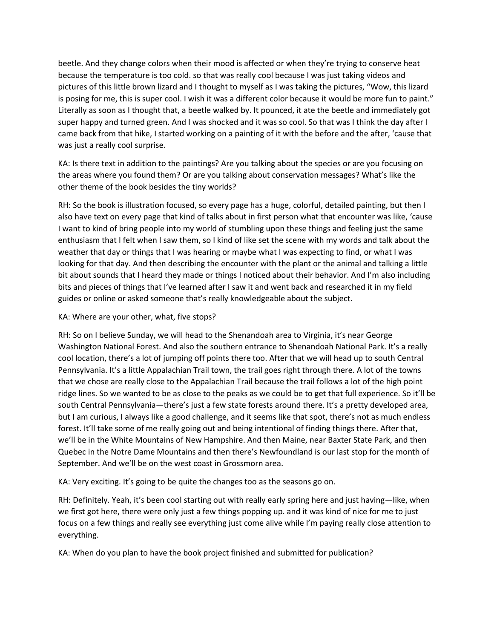beetle. And they change colors when their mood is affected or when they're trying to conserve heat because the temperature is too cold. so that was really cool because I was just taking videos and pictures of this little brown lizard and I thought to myself as I was taking the pictures, "Wow, this lizard is posing for me, this is super cool. I wish it was a different color because it would be more fun to paint." Literally as soon as I thought that, a beetle walked by. It pounced, it ate the beetle and immediately got super happy and turned green. And I was shocked and it was so cool. So that was I think the day after I came back from that hike, I started working on a painting of it with the before and the after, 'cause that was just a really cool surprise.

KA: Is there text in addition to the paintings? Are you talking about the species or are you focusing on the areas where you found them? Or are you talking about conservation messages? What's like the other theme of the book besides the tiny worlds?

RH: So the book is illustration focused, so every page has a huge, colorful, detailed painting, but then I also have text on every page that kind of talks about in first person what that encounter was like, 'cause I want to kind of bring people into my world of stumbling upon these things and feeling just the same enthusiasm that I felt when I saw them, so I kind of like set the scene with my words and talk about the weather that day or things that I was hearing or maybe what I was expecting to find, or what I was looking for that day. And then describing the encounter with the plant or the animal and talking a little bit about sounds that I heard they made or things I noticed about their behavior. And I'm also including bits and pieces of things that I've learned after I saw it and went back and researched it in my field guides or online or asked someone that's really knowledgeable about the subject.

## KA: Where are your other, what, five stops?

RH: So on I believe Sunday, we will head to the Shenandoah area to Virginia, it's near George Washington National Forest. And also the southern entrance to Shenandoah National Park. It's a really cool location, there's a lot of jumping off points there too. After that we will head up to south Central Pennsylvania. It's a little Appalachian Trail town, the trail goes right through there. A lot of the towns that we chose are really close to the Appalachian Trail because the trail follows a lot of the high point ridge lines. So we wanted to be as close to the peaks as we could be to get that full experience. So it'll be south Central Pennsylvania—there's just a few state forests around there. It's a pretty developed area, but I am curious, I always like a good challenge, and it seems like that spot, there's not as much endless forest. It'll take some of me really going out and being intentional of finding things there. After that, we'll be in the White Mountains of New Hampshire. And then Maine, near Baxter State Park, and then Quebec in the Notre Dame Mountains and then there's Newfoundland is our last stop for the month of September. And we'll be on the west coast in Grossmorn area.

KA: Very exciting. It's going to be quite the changes too as the seasons go on.

RH: Definitely. Yeah, it's been cool starting out with really early spring here and just having—like, when we first got here, there were only just a few things popping up. and it was kind of nice for me to just focus on a few things and really see everything just come alive while I'm paying really close attention to everything.

KA: When do you plan to have the book project finished and submitted for publication?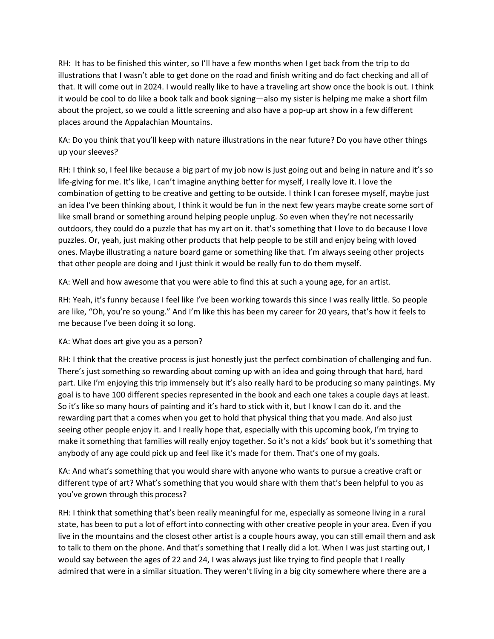RH: It has to be finished this winter, so I'll have a few months when I get back from the trip to do illustrations that I wasn't able to get done on the road and finish writing and do fact checking and all of that. It will come out in 2024. I would really like to have a traveling art show once the book is out. I think it would be cool to do like a book talk and book signing—also my sister is helping me make a short film about the project, so we could a little screening and also have a pop-up art show in a few different places around the Appalachian Mountains.

KA: Do you think that you'll keep with nature illustrations in the near future? Do you have other things up your sleeves?

RH: I think so, I feel like because a big part of my job now is just going out and being in nature and it's so life-giving for me. It's like, I can't imagine anything better for myself, I really love it. I love the combination of getting to be creative and getting to be outside. I think I can foresee myself, maybe just an idea I've been thinking about, I think it would be fun in the next few years maybe create some sort of like small brand or something around helping people unplug. So even when they're not necessarily outdoors, they could do a puzzle that has my art on it. that's something that I love to do because I love puzzles. Or, yeah, just making other products that help people to be still and enjoy being with loved ones. Maybe illustrating a nature board game or something like that. I'm always seeing other projects that other people are doing and I just think it would be really fun to do them myself.

KA: Well and how awesome that you were able to find this at such a young age, for an artist.

RH: Yeah, it's funny because I feel like I've been working towards this since I was really little. So people are like, "Oh, you're so young." And I'm like this has been my career for 20 years, that's how it feels to me because I've been doing it so long.

## KA: What does art give you as a person?

RH: I think that the creative process is just honestly just the perfect combination of challenging and fun. There's just something so rewarding about coming up with an idea and going through that hard, hard part. Like I'm enjoying this trip immensely but it's also really hard to be producing so many paintings. My goal is to have 100 different species represented in the book and each one takes a couple days at least. So it's like so many hours of painting and it's hard to stick with it, but I know I can do it. and the rewarding part that a comes when you get to hold that physical thing that you made. And also just seeing other people enjoy it. and I really hope that, especially with this upcoming book, I'm trying to make it something that families will really enjoy together. So it's not a kids' book but it's something that anybody of any age could pick up and feel like it's made for them. That's one of my goals.

KA: And what's something that you would share with anyone who wants to pursue a creative craft or different type of art? What's something that you would share with them that's been helpful to you as you've grown through this process?

RH: I think that something that's been really meaningful for me, especially as someone living in a rural state, has been to put a lot of effort into connecting with other creative people in your area. Even if you live in the mountains and the closest other artist is a couple hours away, you can still email them and ask to talk to them on the phone. And that's something that I really did a lot. When I was just starting out, I would say between the ages of 22 and 24, I was always just like trying to find people that I really admired that were in a similar situation. They weren't living in a big city somewhere where there are a